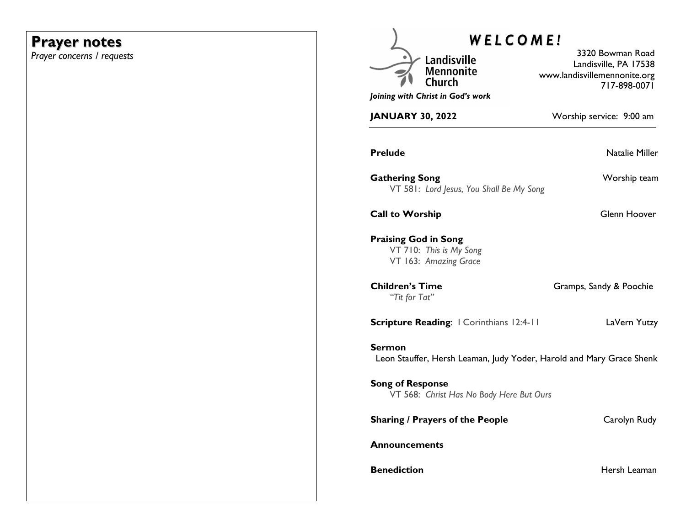## **Prayer notes**

*Prayer concerns / requests*

| WELCOME!                                                                        |                                                                                           |
|---------------------------------------------------------------------------------|-------------------------------------------------------------------------------------------|
| Landisville<br><b>Mennonite</b><br>Church                                       | 3320 Bowman Road<br>Landisville, PA 17538<br>www.landisvillemennonite.org<br>717-898-0071 |
| Joining with Christ in God's work                                               |                                                                                           |
| <b>JANUARY 30, 2022</b>                                                         | Worship service: 9:00 am                                                                  |
| <b>Prelude</b>                                                                  | <b>Natalie Miller</b>                                                                     |
| <b>Gathering Song</b><br>VT 581: Lord Jesus, You Shall Be My Song               | Worship team                                                                              |
| <b>Call to Worship</b>                                                          | Glenn Hoover                                                                              |
| <b>Praising God in Song</b><br>VT 710: This is My Song<br>VT 163: Amazing Grace |                                                                                           |
| <b>Children's Time</b><br>"Tit for Tat"                                         | Gramps, Sandy & Poochie                                                                   |
| <b>Scripture Reading:</b>   Corinthians 12:4-11                                 | LaVern Yutzy                                                                              |
| Sermon<br>Leon Stauffer, Hersh Leaman, Judy Yoder, Harold and Mary Grace Shenk  |                                                                                           |
| <b>Song of Response</b><br>VT 568: Christ Has No Body Here But Ours             |                                                                                           |
| <b>Sharing / Prayers of the People</b>                                          | Carolyn Rudy                                                                              |
| <b>Announcements</b>                                                            |                                                                                           |
| <b>Benediction</b>                                                              | Hersh Leaman                                                                              |
|                                                                                 |                                                                                           |